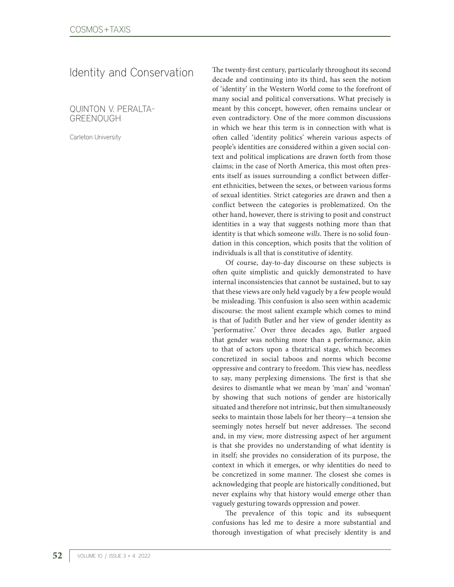Identity and Conservation

QUINTON V. PERALTA-GREENOUGH

Carleton University

The twenty-first century, particularly throughout its second decade and continuing into its third, has seen the notion of 'identity' in the Western World come to the forefront of many social and political conversations. What precisely is meant by this concept, however, often remains unclear or even contradictory. One of the more common discussions in which we hear this term is in connection with what is often called 'identity politics' wherein various aspects of people's identities are considered within a given social context and political implications are drawn forth from those claims; in the case of North America, this most often presents itself as issues surrounding a conflict between different ethnicities, between the sexes, or between various forms of sexual identities. Strict categories are drawn and then a conflict between the categories is problematized. On the other hand, however, there is striving to posit and construct identities in a way that suggests nothing more than that identity is that which someone *wills*. There is no solid foundation in this conception, which posits that the volition of individuals is all that is constitutive of identity.

Of course, day-to-day discourse on these subjects is often quite simplistic and quickly demonstrated to have internal inconsistencies that cannot be sustained, but to say that these views are only held vaguely by a few people would be misleading. This confusion is also seen within academic discourse: the most salient example which comes to mind is that of Judith Butler and her view of gender identity as 'performative.' Over three decades ago, Butler argued that gender was nothing more than a performance, akin to that of actors upon a theatrical stage, which becomes concretized in social taboos and norms which become oppressive and contrary to freedom. This view has, needless to say, many perplexing dimensions. The first is that she desires to dismantle what we mean by 'man' and 'woman' by showing that such notions of gender are historically situated and therefore not intrinsic, but then simultaneously seeks to maintain those labels for her theory—a tension she seemingly notes herself but never addresses. The second and, in my view, more distressing aspect of her argument is that she provides no understanding of what identity is in itself; she provides no consideration of its purpose, the context in which it emerges, or why identities do need to be concretized in some manner. The closest she comes is acknowledging that people are historically conditioned, but never explains why that history would emerge other than vaguely gesturing towards oppression and power.

The prevalence of this topic and its subsequent confusions has led me to desire a more substantial and thorough investigation of what precisely identity is and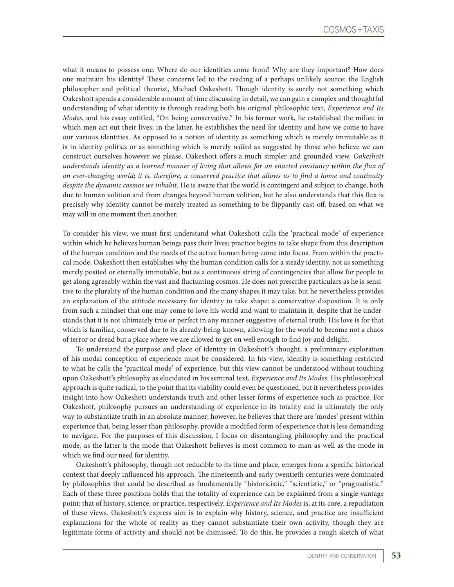what it means to possess one. Where do our identities come from? Why are they important? How does one maintain his identity? These concerns led to the reading of a perhaps unlikely source: the English philosopher and political theorist, Michael Oakeshott. Though identity is surely not something which Oakeshott spends a considerable amount of time discussing in detail, we can gain a complex and thoughtful understanding of what identity is through reading both his original philosophic text, *Experience and Its Modes*, and his essay entitled, "On being conservative." In his former work, he established the milieu in which men act out their lives; in the latter, he establishes the need for identity and how we come to have our various identities. As opposed to a notion of identity as something which is merely immutable as it is in identity politics or as something which is merely *willed* as suggested by those who believe we can construct ourselves however we please, Oakeshott offers a much simpler and grounded view. *Oakeshott understands identity as a learned manner of living that allows for an enacted constancy within the flux of an ever-changing world; it is, therefore, a conserved practice that allows us to find a home and continuity despite the dynamic cosmos we inhabit.* He is aware that the world is contingent and subject to change, both due to human volition and from changes beyond human volition, but he also understands that this flux is precisely why identity cannot be merely treated as something to be flippantly cast-off, based on what we may will in one moment then another.

To consider his view, we must first understand what Oakeshott calls the 'practical mode' of experience within which he believes human beings pass their lives; practice begins to take shape from this description of the human condition and the needs of the active human being come into focus. From within the practical mode, Oakeshott then establishes why the human condition calls for a steady identity, not as something merely posited or eternally immutable, but as a continuous string of contingencies that allow for people to get along agreeably within the vast and fluctuating cosmos. He does not prescribe particulars as he is sensitive to the plurality of the human condition and the many shapes it may take, but he nevertheless provides an explanation of the attitude necessary for identity to take shape: a conservative disposition. It is only from such a mindset that one may come to love his world and want to maintain it, despite that he understands that it is not ultimately true or perfect in any manner suggestive of eternal truth. His love is for that which is familiar, conserved due to its already-being-known, allowing for the world to become not a chaos of terror or dread but a place where we are allowed to get on well enough to find joy and delight.

To understand the purpose and place of identity in Oakeshott's thought, a preliminary exploration of his modal conception of experience must be considered. In his view, identity is something restricted to what he calls the 'practical mode' of experience, but this view cannot be understood without touching upon Oakeshott's philosophy as elucidated in his seminal text, *Experience and Its Modes*. His philosophical approach is quite radical, to the point that its viability could even be questioned, but it nevertheless provides insight into how Oakeshott understands truth and other lesser forms of experience such as practice. For Oakeshott, philosophy pursues an understanding of experience in its totality and is ultimately the only way to substantiate truth in an absolute manner; however, he believes that there are 'modes' present within experience that, being lesser than philosophy, provide a modified form of experience that is less demanding to navigate. For the purposes of this discussion, I focus on disentangling philosophy and the practical mode, as the latter is the mode that Oakeshott believes is most common to man as well as the mode in which we find our need for identity.

Oakeshott's philosophy, though not reducible to its time and place, emerges from a specific historical context that deeply influenced his approach. The nineteenth and early twentieth centuries were dominated by philosophies that could be described as fundamentally "historicistic," "scientistic," or "pragmatistic." Each of these three positions holds that the totality of experience can be explained from a single vantage point: that of history, science, or practice, respectively. *Experience and Its Modes* is, at its core, a repudiation of these views. Oakeshott's express aim is to explain why history, science, and practice are insufficient explanations for the whole of reality as they cannot substantiate their own activity, though they are legitimate forms of activity and should not be dismissed. To do this, he provides a rough sketch of what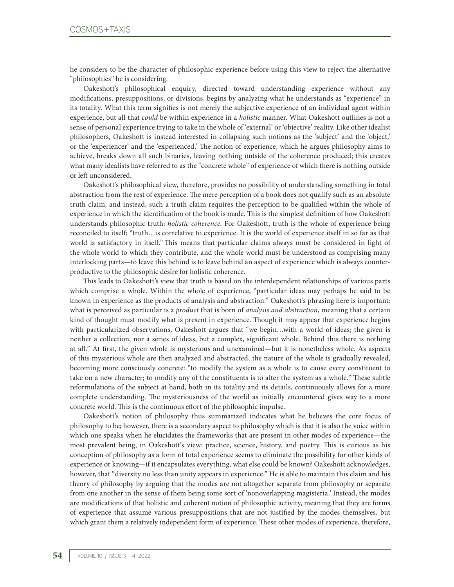he considers to be the character of philosophic experience before using this view to reject the alternative "philosophies" he is considering.

Oakeshott's philosophical enquiry, directed toward understanding experience without any modifications, presuppositions, or divisions, begins by analyzing what he understands as "experience" in its totality. What this term signifies is not merely the subjective experience of an individual agent within experience, but all that *could* be within experience in a *holistic* manner. What Oakeshott outlines is not a sense of personal experience trying to take in the whole of 'external' or 'objective' reality. Like other idealist philosophers, Oakeshott is instead interested in collapsing such notions as the 'subject' and the 'object,' or the 'experiencer' and the 'experienced.' The notion of experience, which he argues philosophy aims to achieve, breaks down all such binaries, leaving nothing outside of the coherence produced; this creates what many idealists have referred to as the "concrete whole" of experience of which there is nothing outside or left unconsidered.

Oakeshott's philosophical view, therefore, provides no possibility of understanding something in total abstraction from the rest of experience. The mere perception of a book does not qualify such as an absolute truth claim, and instead, such a truth claim requires the perception to be qualified within the whole of experience in which the identification of the book is made. This is the simplest definition of how Oakeshott understands philosophic truth: *holistic coherence*. For Oakeshott, truth is the whole of experience being reconciled to itself; "truth…is correlative to experience. It is the world of experience itself in so far as that world is satisfactory in itself." This means that particular claims always must be considered in light of the whole world to which they contribute, and the whole world must be understood as comprising many interlocking parts—to leave this behind is to leave behind an aspect of experience which is always counterproductive to the philosophic desire for holistic coherence.

This leads to Oakeshott's view that truth is based on the interdependent relationships of various parts which comprise a whole. Within the whole of experience, "particular ideas may perhaps be said to be known in experience as the products of analysis and abstraction." Oakeshott's phrasing here is important: what is perceived as particular is a *product* that is born of *analysis and abstraction*, meaning that a certain kind of thought must modify what is present in experience. Though it may appear that experience begins with particularized observations, Oakeshott argues that "we begin…with a world of ideas; the given is neither a collection, nor a series of ideas, but a complex, significant whole. Behind this there is nothing at all." At first, the given whole is mysterious and unexamined—but it is nonetheless whole. As aspects of this mysterious whole are then analyzed and abstracted, the nature of the whole is gradually revealed, becoming more consciously concrete: "to modify the system as a whole is to cause every constituent to take on a new character; to modify any of the constituents is to alter the system as a whole." These subtle reformulations of the subject at hand, both in its totality and its details, continuously allows for a more complete understanding. The mysteriousness of the world as initially encountered gives way to a more concrete world. This is the continuous effort of the philosophic impulse.

Oakeshott's notion of philosophy thus summarized indicates what he believes the core focus of philosophy to be; however, there is a secondary aspect to philosophy which is that it is also the voice within which one speaks when he elucidates the frameworks that are present in other modes of experience—the most prevalent being, in Oakeshott's view: practice, science, history, and poetry. This is curious as his conception of philosophy as a form of total experience seems to eliminate the possibility for other kinds of experience or knowing—if it encapsulates everything, what else could be known? Oakeshott acknowledges, however, that "diversity no less than unity appears in experience." He is able to maintain this claim and his theory of philosophy by arguing that the modes are not altogether separate from philosophy or separate from one another in the sense of them being some sort of 'nonoverlapping magisteria.' Instead, the modes are modifications of that holistic and coherent notion of philosophic activity, meaning that they are forms of experience that assume various presuppositions that are not justified by the modes themselves, but which grant them a relatively independent form of experience. These other modes of experience, therefore,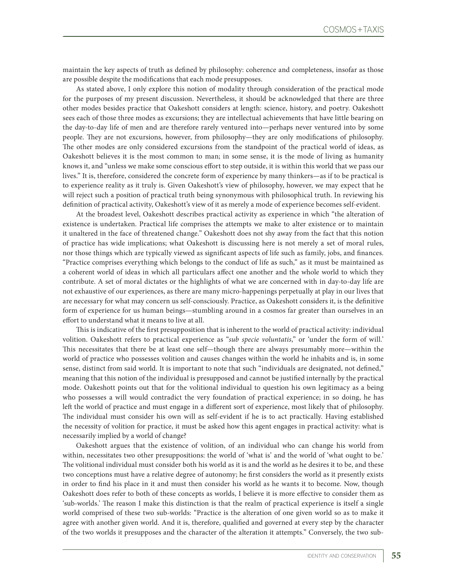maintain the key aspects of truth as defined by philosophy: coherence and completeness, insofar as those are possible despite the modifications that each mode presupposes.

As stated above, I only explore this notion of modality through consideration of the practical mode for the purposes of my present discussion. Nevertheless, it should be acknowledged that there are three other modes besides practice that Oakeshott considers at length: science, history, and poetry. Oakeshott sees each of those three modes as excursions; they are intellectual achievements that have little bearing on the day-to-day life of men and are therefore rarely ventured into—perhaps never ventured into by some people. They are not excursions, however, from philosophy—they are only modifications of philosophy. The other modes are only considered excursions from the standpoint of the practical world of ideas, as Oakeshott believes it is the most common to man; in some sense, it is the mode of living as humanity knows it, and "unless we make some conscious effort to step outside, it is within this world that we pass our lives." It is, therefore, considered the concrete form of experience by many thinkers—as if to be practical is to experience reality as it truly is. Given Oakeshott's view of philosophy, however, we may expect that he will reject such a position of practical truth being synonymous with philosophical truth. In reviewing his definition of practical activity, Oakeshott's view of it as merely a mode of experience becomes self-evident.

At the broadest level, Oakeshott describes practical activity as experience in which "the alteration of existence is undertaken. Practical life comprises the attempts we make to alter existence or to maintain it unaltered in the face of threatened change." Oakeshott does not shy away from the fact that this notion of practice has wide implications; what Oakeshott is discussing here is not merely a set of moral rules, nor those things which are typically viewed as significant aspects of life such as family, jobs, and finances. "Practice comprises everything which belongs to the conduct of life as such," as it must be maintained as a coherent world of ideas in which all particulars affect one another and the whole world to which they contribute. A set of moral dictates or the highlights of what we are concerned with in day-to-day life are not exhaustive of our experiences, as there are many micro-happenings perpetually at play in our lives that are necessary for what may concern us self-consciously. Practice, as Oakeshott considers it, is the definitive form of experience for us human beings—stumbling around in a cosmos far greater than ourselves in an effort to understand what it means to live at all.

This is indicative of the first presupposition that is inherent to the world of practical activity: individual volition. Oakeshott refers to practical experience as "*sub specie voluntatis*," or 'under the form of will.' This necessitates that there be at least one self—though there are always presumably more—within the world of practice who possesses volition and causes changes within the world he inhabits and is, in some sense, distinct from said world. It is important to note that such "individuals are designated, not defined," meaning that this notion of the individual is presupposed and cannot be justified internally by the practical mode. Oakeshott points out that for the volitional individual to question his own legitimacy as a being who possesses a will would contradict the very foundation of practical experience; in so doing, he has left the world of practice and must engage in a different sort of experience, most likely that of philosophy. The individual must consider his own will as self-evident if he is to act practically. Having established the necessity of volition for practice, it must be asked how this agent engages in practical activity: what is necessarily implied by a world of change?

Oakeshott argues that the existence of volition, of an individual who can change his world from within, necessitates two other presuppositions: the world of 'what is' and the world of 'what ought to be.' The volitional individual must consider both his world as it is and the world as he desires it to be, and these two conceptions must have a relative degree of autonomy; he first considers the world as it presently exists in order to find his place in it and must then consider his world as he wants it to become. Now, though Oakeshott does refer to both of these concepts as worlds, I believe it is more effective to consider them as 'sub-worlds.' The reason I make this distinction is that the realm of practical experience is itself a single world comprised of these two sub-worlds: "Practice is the alteration of one given world so as to make it agree with another given world. And it is, therefore, qualified and governed at every step by the character of the two worlds it presupposes and the character of the alteration it attempts." Conversely, the two sub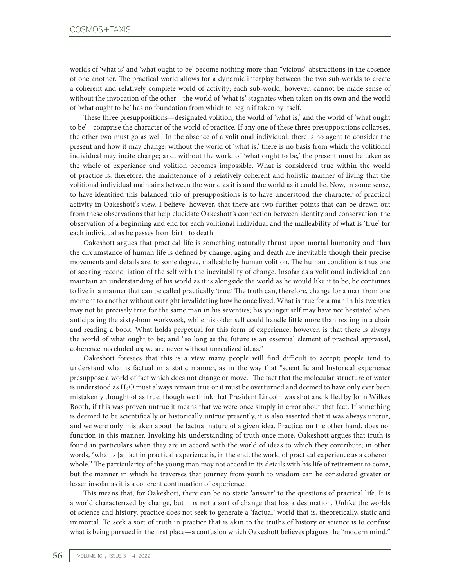worlds of 'what is' and 'what ought to be' become nothing more than "vicious" abstractions in the absence of one another. The practical world allows for a dynamic interplay between the two sub-worlds to create a coherent and relatively complete world of activity; each sub-world, however, cannot be made sense of without the invocation of the other—the world of 'what is' stagnates when taken on its own and the world of 'what ought to be' has no foundation from which to begin if taken by itself.

These three presuppositions—designated volition, the world of 'what is,' and the world of 'what ought to be'—comprise the character of the world of practice. If any one of these three presuppositions collapses, the other two must go as well. In the absence of a volitional individual, there is no agent to consider the present and how it may change; without the world of 'what is,' there is no basis from which the volitional individual may incite change; and, without the world of 'what ought to be,' the present must be taken as the whole of experience and volition becomes impossible. What is considered true within the world of practice is, therefore, the maintenance of a relatively coherent and holistic manner of living that the volitional individual maintains between the world as it is and the world as it could be. Now, in some sense, to have identified this balanced trio of presuppositions is to have understood the character of practical activity in Oakeshott's view. I believe, however, that there are two further points that can be drawn out from these observations that help elucidate Oakeshott's connection between identity and conservation: the observation of a beginning and end for each volitional individual and the malleability of what is 'true' for each individual as he passes from birth to death.

Oakeshott argues that practical life is something naturally thrust upon mortal humanity and thus the circumstance of human life is defined by change; aging and death are inevitable though their precise movements and details are, to some degree, malleable by human volition. The human condition is thus one of seeking reconciliation of the self with the inevitability of change. Insofar as a volitional individual can maintain an understanding of his world as it is alongside the world as he would like it to be, he continues to live in a manner that can be called practically 'true.' The truth can, therefore, change for a man from one moment to another without outright invalidating how he once lived. What is true for a man in his twenties may not be precisely true for the same man in his seventies; his younger self may have not hesitated when anticipating the sixty-hour workweek, while his older self could handle little more than resting in a chair and reading a book. What holds perpetual for this form of experience, however, is that there is always the world of what ought to be; and "so long as the future is an essential element of practical appraisal, coherence has eluded us; we are never without unrealized ideas."

Oakeshott foresees that this is a view many people will find difficult to accept; people tend to understand what is factual in a static manner, as in the way that "scientific and historical experience presuppose a world of fact which does not change or move." The fact that the molecular structure of water is understood as  $H_2O$  must always remain true or it must be overturned and deemed to have only ever been mistakenly thought of as true; though we think that President Lincoln was shot and killed by John Wilkes Booth, if this was proven untrue it means that we were once simply in error about that fact. If something is deemed to be scientifically or historically untrue presently, it is also asserted that it was always untrue, and we were only mistaken about the factual nature of a given idea. Practice, on the other hand, does not function in this manner. Invoking his understanding of truth once more, Oakeshott argues that truth is found in particulars when they are in accord with the world of ideas to which they contribute; in other words, "what is [a] fact in practical experience is, in the end, the world of practical experience as a coherent whole." The particularity of the young man may not accord in its details with his life of retirement to come, but the manner in which he traverses that journey from youth to wisdom can be considered greater or lesser insofar as it is a coherent continuation of experience.

This means that, for Oakeshott, there can be no static 'answer' to the questions of practical life. It is a world characterized by change, but it is not a sort of change that has a destination. Unlike the worlds of science and history, practice does not seek to generate a 'factual' world that is, theoretically, static and immortal. To seek a sort of truth in practice that is akin to the truths of history or science is to confuse what is being pursued in the first place—a confusion which Oakeshott believes plagues the "modern mind."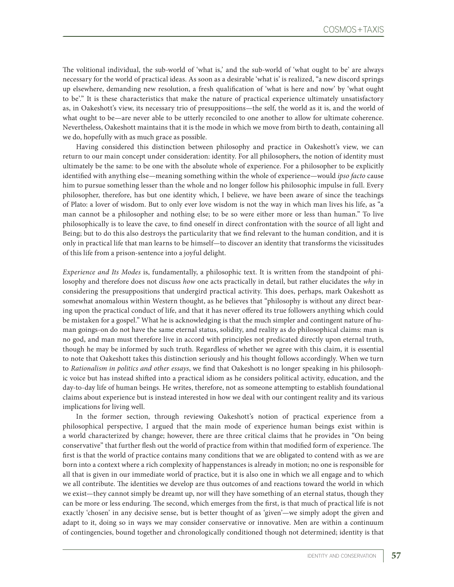The volitional individual, the sub-world of 'what is,' and the sub-world of 'what ought to be' are always necessary for the world of practical ideas. As soon as a desirable 'what is' is realized, "a new discord springs up elsewhere, demanding new resolution, a fresh qualification of 'what is here and now' by 'what ought to be'." It is these characteristics that make the nature of practical experience ultimately unsatisfactory as, in Oakeshott's view, its necessary trio of presuppositions—the self, the world as it is, and the world of what ought to be—are never able to be utterly reconciled to one another to allow for ultimate coherence. Nevertheless, Oakeshott maintains that it is the mode in which we move from birth to death, containing all we do, hopefully with as much grace as possible.

Having considered this distinction between philosophy and practice in Oakeshott's view, we can return to our main concept under consideration: identity. For all philosophers, the notion of identity must ultimately be the same: to be one with the absolute whole of experience. For a philosopher to be explicitly identified with anything else—meaning something within the whole of experience—would *ipso facto* cause him to pursue something lesser than the whole and no longer follow his philosophic impulse in full. Every philosopher, therefore, has but one identity which, I believe, we have been aware of since the teachings of Plato: a lover of wisdom. But to only ever love wisdom is not the way in which man lives his life, as "a man cannot be a philosopher and nothing else; to be so were either more or less than human." To live philosophically is to leave the cave, to find oneself in direct confrontation with the source of all light and Being; but to do this also destroys the particularity that we find relevant to the human condition, and it is only in practical life that man learns to be himself—to discover an identity that transforms the vicissitudes of this life from a prison-sentence into a joyful delight.

*Experience and Its Modes* is, fundamentally, a philosophic text. It is written from the standpoint of philosophy and therefore does not discuss *how* one acts practically in detail, but rather elucidates the *why* in considering the presuppositions that undergird practical activity. This does, perhaps, mark Oakeshott as somewhat anomalous within Western thought, as he believes that "philosophy is without any direct bearing upon the practical conduct of life, and that it has never offered its true followers anything which could be mistaken for a gospel." What he is acknowledging is that the much simpler and contingent nature of human goings-on do not have the same eternal status, solidity, and reality as do philosophical claims: man is no god, and man must therefore live in accord with principles not predicated directly upon eternal truth, though he may be informed by such truth. Regardless of whether we agree with this claim, it is essential to note that Oakeshott takes this distinction seriously and his thought follows accordingly. When we turn to *Rationalism in politics and other essays*, we find that Oakeshott is no longer speaking in his philosophic voice but has instead shifted into a practical idiom as he considers political activity, education, and the day-to-day life of human beings. He writes, therefore, not as someone attempting to establish foundational claims about experience but is instead interested in how we deal with our contingent reality and its various implications for living well.

In the former section, through reviewing Oakeshott's notion of practical experience from a philosophical perspective, I argued that the main mode of experience human beings exist within is a world characterized by change; however, there are three critical claims that he provides in "On being conservative" that further flesh out the world of practice from within that modified form of experience. The first is that the world of practice contains many conditions that we are obligated to contend with as we are born into a context where a rich complexity of happenstances is already in motion; no one is responsible for all that is given in our immediate world of practice, but it is also one in which we all engage and to which we all contribute. The identities we develop are thus outcomes of and reactions toward the world in which we exist—they cannot simply be dreamt up, nor will they have something of an eternal status, though they can be more or less enduring. The second, which emerges from the first, is that much of practical life is not exactly 'chosen' in any decisive sense, but is better thought of as 'given'—we simply adopt the given and adapt to it, doing so in ways we may consider conservative or innovative. Men are within a continuum of contingencies, bound together and chronologically conditioned though not determined; identity is that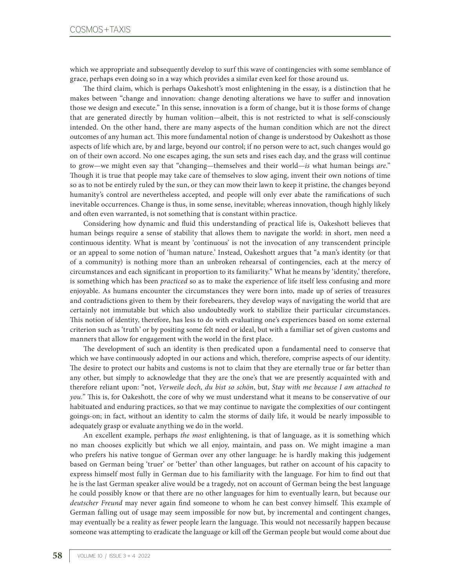which we appropriate and subsequently develop to surf this wave of contingencies with some semblance of grace, perhaps even doing so in a way which provides a similar even keel for those around us.

The third claim, which is perhaps Oakeshott's most enlightening in the essay, is a distinction that he makes between "change and innovation: change denoting alterations we have to suffer and innovation those we design and execute." In this sense, innovation is a form of change, but it is those forms of change that are generated directly by human volition—albeit, this is not restricted to what is self-consciously intended. On the other hand, there are many aspects of the human condition which are not the direct outcomes of any human act. This more fundamental notion of change is understood by Oakeshott as those aspects of life which are, by and large, beyond our control; if no person were to act, such changes would go on of their own accord. No one escapes aging, the sun sets and rises each day, and the grass will continue to grow—we might even say that "changing—themselves and their world—*is* what human beings *are*." Though it is true that people may take care of themselves to slow aging, invent their own notions of time so as to not be entirely ruled by the sun, or they can mow their lawn to keep it pristine, the changes beyond humanity's control are nevertheless accepted, and people will only ever abate the ramifications of such inevitable occurrences. Change is thus, in some sense, inevitable; whereas innovation, though highly likely and often even warranted, is not something that is constant within practice.

Considering how dynamic and fluid this understanding of practical life is, Oakeshott believes that human beings require a sense of stability that allows them to navigate the world: in short, men need a continuous identity. What is meant by 'continuous' is not the invocation of any transcendent principle or an appeal to some notion of 'human nature.' Instead, Oakeshott argues that "a man's identity (or that of a community) is nothing more than an unbroken rehearsal of contingencies, each at the mercy of circumstances and each significant in proportion to its familiarity." What he means by 'identity,' therefore, is something which has been *practiced* so as to make the experience of life itself less confusing and more enjoyable. As humans encounter the circumstances they were born into, made up of series of treasures and contradictions given to them by their forebearers, they develop ways of navigating the world that are certainly not immutable but which also undoubtedly work to stabilize their particular circumstances. This notion of identity, therefore, has less to do with evaluating one's experiences based on some external criterion such as 'truth' or by positing some felt need or ideal, but with a familiar set of given customs and manners that allow for engagement with the world in the first place.

The development of such an identity is then predicated upon a fundamental need to conserve that which we have continuously adopted in our actions and which, therefore, comprise aspects of our identity. The desire to protect our habits and customs is not to claim that they are eternally true or far better than any other, but simply to acknowledge that they are the one's that we are presently acquainted with and therefore reliant upon: "not, *Verweile doch, du bist so schön*, but, *Stay with me because I am attached to you.*" This is, for Oakeshott, the core of why we must understand what it means to be conservative of our habituated and enduring practices, so that we may continue to navigate the complexities of our contingent goings-on; in fact, without an identity to calm the storms of daily life, it would be nearly impossible to adequately grasp or evaluate anything we do in the world.

An excellent example, perhaps *the most* enlightening, is that of language, as it is something which no man chooses explicitly but which we all enjoy, maintain, and pass on. We might imagine a man who prefers his native tongue of German over any other language: he is hardly making this judgement based on German being 'truer' or 'better' than other languages, but rather on account of his capacity to express himself most fully in German due to his familiarity with the language. For him to find out that he is the last German speaker alive would be a tragedy, not on account of German being the best language he could possibly know or that there are no other languages for him to eventually learn, but because our *deutscher Freund* may never again find someone to whom he can best convey himself. This example of German falling out of usage may seem impossible for now but, by incremental and contingent changes, may eventually be a reality as fewer people learn the language. This would not necessarily happen because someone was attempting to eradicate the language or kill off the German people but would come about due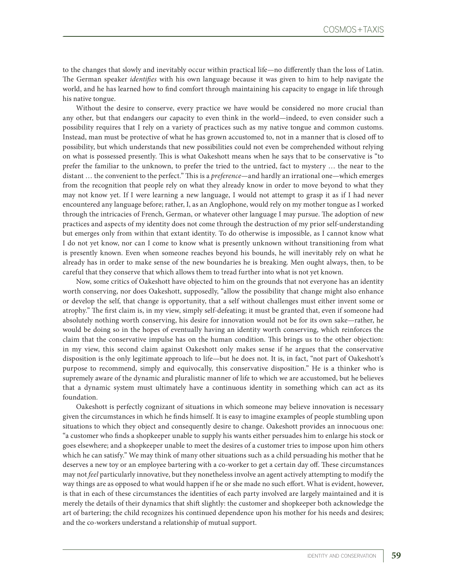to the changes that slowly and inevitably occur within practical life—no differently than the loss of Latin. The German speaker *identifies* with his own language because it was given to him to help navigate the world, and he has learned how to find comfort through maintaining his capacity to engage in life through his native tongue.

Without the desire to conserve, every practice we have would be considered no more crucial than any other, but that endangers our capacity to even think in the world—indeed, to even consider such a possibility requires that I rely on a variety of practices such as my native tongue and common customs. Instead, man must be protective of what he has grown accustomed to, not in a manner that is closed off to possibility, but which understands that new possibilities could not even be comprehended without relying on what is possessed presently. This is what Oakeshott means when he says that to be conservative is "to prefer the familiar to the unknown, to prefer the tried to the untried, fact to mystery … the near to the distant … the convenient to the perfect." This is a *preference*—and hardly an irrational one—which emerges from the recognition that people rely on what they already know in order to move beyond to what they may not know yet. If I were learning a new language, I would not attempt to grasp it as if I had never encountered any language before; rather, I, as an Anglophone, would rely on my mother tongue as I worked through the intricacies of French, German, or whatever other language I may pursue. The adoption of new practices and aspects of my identity does not come through the destruction of my prior self-understanding but emerges only from within that extant identity. To do otherwise is impossible, as I cannot know what I do not yet know, nor can I come to know what is presently unknown without transitioning from what is presently known. Even when someone reaches beyond his bounds, he will inevitably rely on what he already has in order to make sense of the new boundaries he is breaking. Men ought always, then, to be careful that they conserve that which allows them to tread further into what is not yet known.

Now, some critics of Oakeshott have objected to him on the grounds that not everyone has an identity worth conserving, nor does Oakeshott, supposedly, "allow the possibility that change might also enhance or develop the self, that change is opportunity, that a self without challenges must either invent some or atrophy." The first claim is, in my view, simply self-defeating; it must be granted that, even if someone had absolutely nothing worth conserving, his desire for innovation would not be for its own sake—rather, he would be doing so in the hopes of eventually having an identity worth conserving, which reinforces the claim that the conservative impulse has on the human condition. This brings us to the other objection: in my view, this second claim against Oakeshott only makes sense if he argues that the conservative disposition is the only legitimate approach to life—but he does not. It is, in fact, "not part of Oakeshott's purpose to recommend, simply and equivocally, this conservative disposition." He is a thinker who is supremely aware of the dynamic and pluralistic manner of life to which we are accustomed, but he believes that a dynamic system must ultimately have a continuous identity in something which can act as its foundation.

Oakeshott is perfectly cognizant of situations in which someone may believe innovation is necessary given the circumstances in which he finds himself. It is easy to imagine examples of people stumbling upon situations to which they object and consequently desire to change. Oakeshott provides an innocuous one: "a customer who finds a shopkeeper unable to supply his wants either persuades him to enlarge his stock or goes elsewhere; and a shopkeeper unable to meet the desires of a customer tries to impose upon him others which he can satisfy." We may think of many other situations such as a child persuading his mother that he deserves a new toy or an employee bartering with a co-worker to get a certain day off. These circumstances may not *feel* particularly innovative, but they nonetheless involve an agent actively attempting to modify the way things are as opposed to what would happen if he or she made no such effort. What is evident, however, is that in each of these circumstances the identities of each party involved are largely maintained and it is merely the details of their dynamics that shift slightly: the customer and shopkeeper both acknowledge the art of bartering; the child recognizes his continued dependence upon his mother for his needs and desires; and the co-workers understand a relationship of mutual support.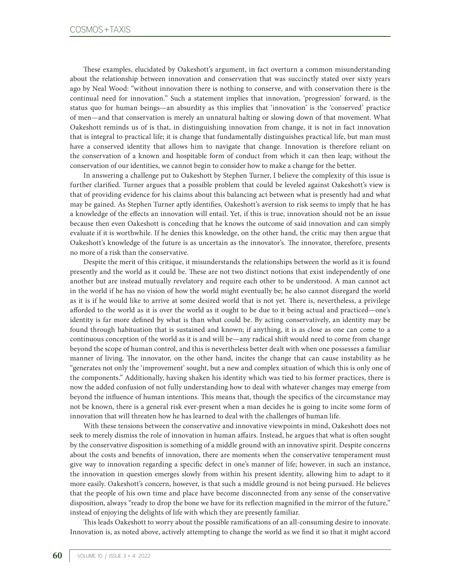These examples, elucidated by Oakeshott's argument, in fact overturn a common misunderstanding about the relationship between innovation and conservation that was succinctly stated over sixty years ago by Neal Wood: "without innovation there is nothing to conserve, and with conservation there is the continual need for innovation." Such a statement implies that innovation, 'progression' forward, is the status quo for human beings—an absurdity as this implies that 'innovation' is the 'conserved' practice of men—and that conservation is merely an unnatural halting or slowing down of that movement. What Oakeshott reminds us of is that, in distinguishing innovation from change, it is not in fact innovation that is integral to practical life; it is change that fundamentally distinguishes practical life, but man must have a conserved identity that allows him to navigate that change. Innovation is therefore reliant on the conservation of a known and hospitable form of conduct from which it can then leap; without the conservation of our identities, we cannot begin to consider how to make a change for the better.

In answering a challenge put to Oakeshott by Stephen Turner, I believe the complexity of this issue is further clarified. Turner argues that a possible problem that could be leveled against Oakeshott's view is that of providing evidence for his claims about this balancing act between what is presently had and what may be gained. As Stephen Turner aptly identifies, Oakeshott's aversion to risk seems to imply that he has a knowledge of the effects an innovation will entail. Yet, if this is true, innovation should not be an issue because then even Oakeshott is conceding that he knows the outcome of said innovation and can simply evaluate if it is worthwhile. If he denies this knowledge, on the other hand, the critic may then argue that Oakeshott's knowledge of the future is as uncertain as the innovator's. The innovator, therefore, presents no more of a risk than the conservative.

Despite the merit of this critique, it misunderstands the relationships between the world as it is found presently and the world as it could be*.* These are not two distinct notions that exist independently of one another but are instead mutually revelatory and require each other to be understood. A man cannot act in the world if he has no vision of how the world might eventually be; he also cannot disregard the world as it is if he would like to arrive at some desired world that is not yet. There is, nevertheless, a privilege afforded to the world as it is over the world as it ought to be due to it being actual and practiced—one's identity is far more defined by what is than what could be. By acting conservatively, an identity may be found through habituation that is sustained and known; if anything, it is as close as one can come to a continuous conception of the world as it is and will be—any radical shift would need to come from change beyond the scope of human control, and this is nevertheless better dealt with when one possesses a familiar manner of living. The innovator, on the other hand, incites the change that can cause instability as he "generates not only the 'improvement' sought, but a new and complex situation of which this is only one of the components." Additionally, having shaken his identity which was tied to his former practices, there is now the added confusion of not fully understanding how to deal with whatever changes may emerge from beyond the influence of human intentions. This means that, though the specifics of the circumstance may not be known, there is a general risk ever-present when a man decides he is going to incite some form of innovation that will threaten how he has learned to deal with the challenges of human life.

With these tensions between the conservative and innovative viewpoints in mind, Oakeshott does not seek to merely dismiss the role of innovation in human affairs. Instead, he argues that what is often sought by the conservative disposition is something of a middle ground with an innovative spirit. Despite concerns about the costs and benefits of innovation, there are moments when the conservative temperament must give way to innovation regarding a specific defect in one's manner of life; however, in such an instance, the innovation in question emerges slowly from within his present identity, allowing him to adapt to it more easily. Oakeshott's concern, however, is that such a middle ground is not being pursued. He believes that the people of his own time and place have become disconnected from any sense of the conservative disposition, always "ready to drop the bone we have for its reflection magnified in the mirror of the future," instead of enjoying the delights of life with which they are presently familiar.

This leads Oakeshott to worry about the possible ramifications of an all-consuming desire to innovate. Innovation is, as noted above, actively attempting to change the world as we find it so that it might accord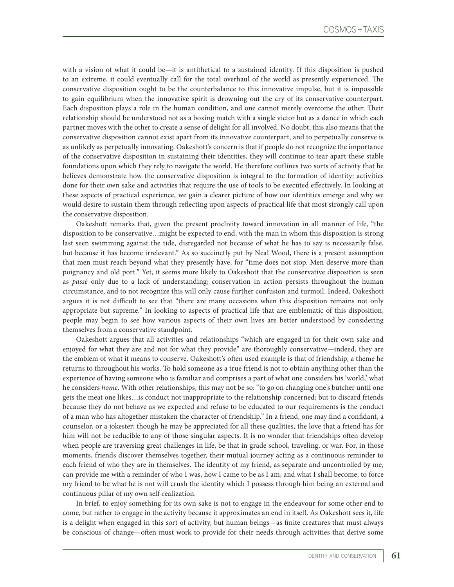with a vision of what it could be—it is antithetical to a sustained identity. If this disposition is pushed to an extreme, it could eventually call for the total overhaul of the world as presently experienced. The conservative disposition ought to be the counterbalance to this innovative impulse, but it is impossible to gain equilibrium when the innovative spirit is drowning out the cry of its conservative counterpart. Each disposition plays a role in the human condition, and one cannot merely overcome the other. Their relationship should be understood not as a boxing match with a single victor but as a dance in which each partner moves with the other to create a sense of delight for all involved. No doubt, this also means that the conservative disposition cannot exist apart from its innovative counterpart, and to perpetually conserve is as unlikely as perpetually innovating. Oakeshott's concern is that if people do not recognize the importance of the conservative disposition in sustaining their identities, they will continue to tear apart these stable foundations upon which they rely to navigate the world. He therefore outlines two sorts of activity that he believes demonstrate how the conservative disposition is integral to the formation of identity: activities done for their own sake and activities that require the use of tools to be executed effectively. In looking at these aspects of practical experience, we gain a clearer picture of how our identities emerge and why we would desire to sustain them through reflecting upon aspects of practical life that most strongly call upon the conservative disposition.

Oakeshott remarks that, given the present proclivity toward innovation in all manner of life, "the disposition to be conservative…might be expected to end, with the man in whom this disposition is strong last seen swimming against the tide, disregarded not because of what he has to say is necessarily false, but because it has become irrelevant." As so succinctly put by Neal Wood, there is a present assumption that men must reach beyond what they presently have, for "time does not stop. Men deserve more than poignancy and old port." Yet, it seems more likely to Oakeshott that the conservative disposition is seen as *passé* only due to a lack of understanding; conservation in action persists throughout the human circumstance, and to not recognize this will only cause further confusion and turmoil. Indeed, Oakeshott argues it is not difficult to see that "there are many occasions when this disposition remains not only appropriate but supreme." In looking to aspects of practical life that are emblematic of this disposition, people may begin to see how various aspects of their own lives are better understood by considering themselves from a conservative standpoint.

Oakeshott argues that all activities and relationships "which are engaged in for their own sake and enjoyed for what they are and not for what they provide" are thoroughly conservative—indeed, they are the emblem of what it means to conserve. Oakeshott's often used example is that of friendship, a theme he returns to throughout his works. To hold someone as a true friend is not to obtain anything other than the experience of having someone who is familiar and comprises a part of what one considers his 'world,' what he considers *home*. With other relationships, this may not be so: "to go on changing one's butcher until one gets the meat one likes…is conduct not inappropriate to the relationship concerned; but to discard friends because they do not behave as we expected and refuse to be educated to our requirements is the conduct of a man who has altogether mistaken the character of friendship." In a friend, one may find a confidant, a counselor, or a jokester; though he may be appreciated for all these qualities, the love that a friend has for him will not be reducible to any of those singular aspects. It is no wonder that friendships often develop when people are traversing great challenges in life, be that in grade school, traveling, or war. For, in those moments, friends discover themselves together, their mutual journey acting as a continuous reminder to each friend of who they are in themselves. The identity of my friend, as separate and uncontrolled by me, can provide me with a reminder of who I was, how I came to be as I am, and what I shall become; to force my friend to be what he is not will crush the identity which I possess through him being an external and continuous pillar of my own self-realization.

In brief, to enjoy something for its own sake is not to engage in the endeavour for some other end to come, but rather to engage in the activity because it approximates an end in itself. As Oakeshott sees it, life is a delight when engaged in this sort of activity, but human beings—as finite creatures that must always be conscious of change—often must work to provide for their needs through activities that derive some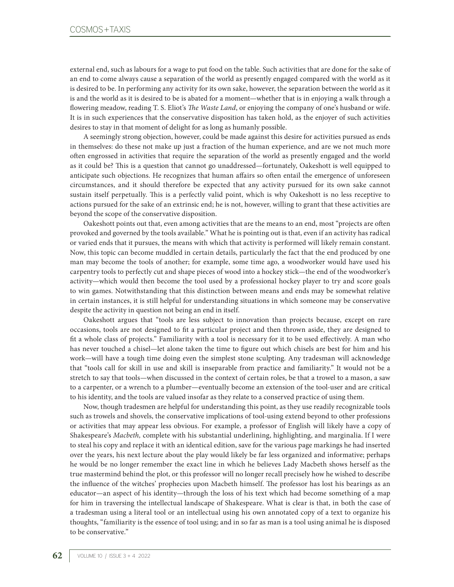external end, such as labours for a wage to put food on the table. Such activities that are done for the sake of an end to come always cause a separation of the world as presently engaged compared with the world as it is desired to be. In performing any activity for its own sake, however, the separation between the world as it is and the world as it is desired to be is abated for a moment—whether that is in enjoying a walk through a flowering meadow, reading T. S. Eliot's *The Waste Land*, or enjoying the company of one's husband or wife. It is in such experiences that the conservative disposition has taken hold, as the enjoyer of such activities desires to stay in that moment of delight for as long as humanly possible.

A seemingly strong objection, however, could be made against this desire for activities pursued as ends in themselves: do these not make up just a fraction of the human experience, and are we not much more often engrossed in activities that require the separation of the world as presently engaged and the world as it could be? This is a question that cannot go unaddressed—fortunately, Oakeshott is well equipped to anticipate such objections. He recognizes that human affairs so often entail the emergence of unforeseen circumstances, and it should therefore be expected that any activity pursued for its own sake cannot sustain itself perpetually. This is a perfectly valid point, which is why Oakeshott is no less receptive to actions pursued for the sake of an extrinsic end; he is not, however, willing to grant that these activities are beyond the scope of the conservative disposition.

Oakeshott points out that, even among activities that are the means to an end, most "projects are often provoked and governed by the tools available." What he is pointing out is that, even if an activity has radical or varied ends that it pursues, the means with which that activity is performed will likely remain constant. Now, this topic can become muddled in certain details, particularly the fact that the end produced by one man may become the tools of another; for example, some time ago, a woodworker would have used his carpentry tools to perfectly cut and shape pieces of wood into a hockey stick—the end of the woodworker's activity—which would then become the tool used by a professional hockey player to try and score goals to win games. Notwithstanding that this distinction between means and ends may be somewhat relative in certain instances, it is still helpful for understanding situations in which someone may be conservative despite the activity in question not being an end in itself.

Oakeshott argues that "tools are less subject to innovation than projects because, except on rare occasions, tools are not designed to fit a particular project and then thrown aside, they are designed to fit a whole class of projects." Familiarity with a tool is necessary for it to be used effectively. A man who has never touched a chisel—let alone taken the time to figure out which chisels are best for him and his work—will have a tough time doing even the simplest stone sculpting. Any tradesman will acknowledge that "tools call for skill in use and skill is inseparable from practice and familiarity." It would not be a stretch to say that tools—when discussed in the context of certain roles, be that a trowel to a mason, a saw to a carpenter, or a wrench to a plumber—eventually become an extension of the tool-user and are critical to his identity, and the tools are valued insofar as they relate to a conserved practice of using them.

Now, though tradesmen are helpful for understanding this point, as they use readily recognizable tools such as trowels and shovels, the conservative implications of tool-using extend beyond to other professions or activities that may appear less obvious. For example, a professor of English will likely have a copy of Shakespeare's *Macbeth,* complete with his substantial underlining, highlighting, and marginalia. If I were to steal his copy and replace it with an identical edition, save for the various page markings he had inserted over the years, his next lecture about the play would likely be far less organized and informative; perhaps he would be no longer remember the exact line in which he believes Lady Macbeth shows herself as the true mastermind behind the plot, or this professor will no longer recall precisely how he wished to describe the influence of the witches' prophecies upon Macbeth himself. The professor has lost his bearings as an educator—an aspect of his identity—through the loss of his text which had become something of a map for him in traversing the intellectual landscape of Shakespeare. What is clear is that, in both the case of a tradesman using a literal tool or an intellectual using his own annotated copy of a text to organize his thoughts, "familiarity is the essence of tool using; and in so far as man is a tool using animal he is disposed to be conservative."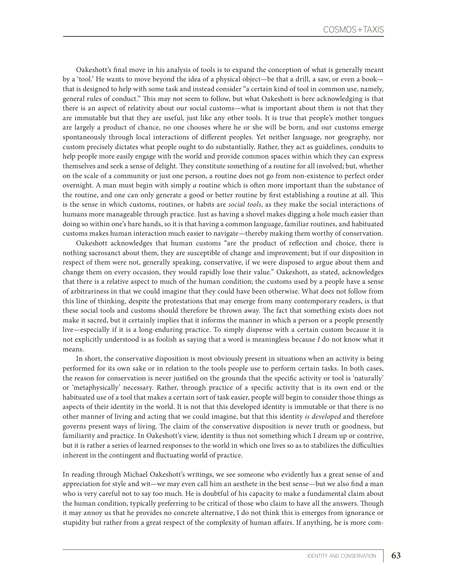Oakeshott's final move in his analysis of tools is to expand the conception of what is generally meant by a 'tool.' He wants to move beyond the idea of a physical object—be that a drill, a saw, or even a book that is designed to help with some task and instead consider "a certain kind of tool in common use, namely, general rules of conduct." This may not seem to follow, but what Oakeshott is here acknowledging is that there is an aspect of relativity about our social customs—what is important about them is not that they are immutable but that they are useful, just like any other tools. It is true that people's mother tongues are largely a product of chance, no one chooses where he or she will be born, and our customs emerge spontaneously through local interactions of different peoples. Yet neither language, nor geography, nor custom precisely dictates what people ought to do substantially. Rather, they act as guidelines, conduits to help people more easily engage with the world and provide common spaces within which they can express themselves and seek a sense of delight. They constitute something of a routine for all involved; but, whether on the scale of a community or just one person, a routine does not go from non-existence to perfect order overnight. A man must begin with simply *a* routine which is often more important than the substance of the routine, and one can only generate a good or better routine by first establishing a routine at all. This is the sense in which customs, routines, or habits are *social tools*, as they make the social interactions of humans more manageable through practice. Just as having a shovel makes digging a hole much easier than doing so within one's bare hands, so it is that having a common language, familiar routines, and habituated customs makes human interaction much easier to navigate—thereby making them worthy of conservation.

Oakeshott acknowledges that human customs "are the product of reflection and choice, there is nothing sacrosanct about them, they are susceptible of change and improvement; but if our disposition in respect of them were not, generally speaking, conservative, if we were disposed to argue about them and change them on every occasion, they would rapidly lose their value." Oakeshott, as stated, acknowledges that there is a relative aspect to much of the human condition; the customs used by a people have a sense of arbitrariness in that we could imagine that they could have been otherwise. What does not follow from this line of thinking, despite the protestations that may emerge from many contemporary readers, is that these social tools and customs should therefore be thrown away. The fact that something exists does not make it sacred, but it certainly implies that it informs the manner in which a person or a people presently live—especially if it is a long-enduring practice. To simply dispense with a certain custom because it is not explicitly understood is as foolish as saying that a word is meaningless because *I* do not know what it means.

In short, the conservative disposition is most obviously present in situations when an activity is being performed for its own sake or in relation to the tools people use to perform certain tasks. In both cases, the reason for conservation is never justified on the grounds that the specific activity or tool is 'naturally' or 'metaphysically' necessary. Rather, through practice of a specific activity that is its own end or the habituated use of a tool that makes a certain sort of task easier, people will begin to consider those things as aspects of their identity in the world. It is not that this developed identity is immutable or that there is no other manner of living and acting that we could imagine, but that this identity *is developed* and therefore governs present ways of living. The claim of the conservative disposition is never truth or goodness, but familiarity and practice. In Oakeshott's view, identity is thus not something which I dream up or contrive, but it is rather a series of learned responses to the world in which one lives so as to stabilizes the difficulties inherent in the contingent and fluctuating world of practice.

In reading through Michael Oakeshott's writings, we see someone who evidently has a great sense of and appreciation for style and wit—we may even call him an aesthete in the best sense—but we also find a man who is very careful not to say too much. He is doubtful of his capacity to make a fundamental claim about the human condition, typically preferring to be critical of those who claim to have all the answers. Though it may annoy us that he provides no concrete alternative, I do not think this is emerges from ignorance or stupidity but rather from a great respect of the complexity of human affairs. If anything, he is more com-